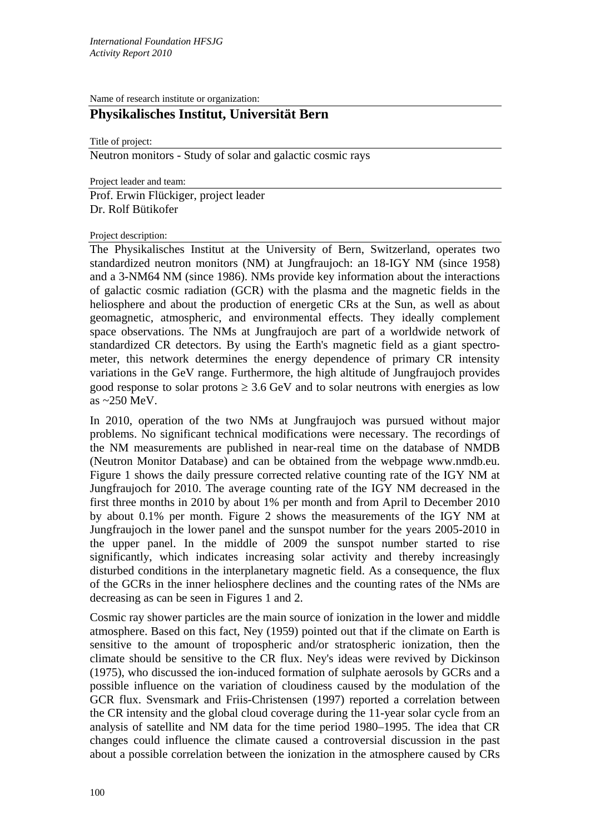Name of research institute or organization:

## **Physikalisches Institut, Universität Bern**

Title of project:

Neutron monitors - Study of solar and galactic cosmic rays

Project leader and team:

Prof. Erwin Flückiger, project leader Dr. Rolf Bütikofer

## Project description:

The Physikalisches Institut at the University of Bern, Switzerland, operates two standardized neutron monitors (NM) at Jungfraujoch: an 18-IGY NM (since 1958) and a 3-NM64 NM (since 1986). NMs provide key information about the interactions of galactic cosmic radiation (GCR) with the plasma and the magnetic fields in the heliosphere and about the production of energetic CRs at the Sun, as well as about geomagnetic, atmospheric, and environmental effects. They ideally complement space observations. The NMs at Jungfraujoch are part of a worldwide network of standardized CR detectors. By using the Earth's magnetic field as a giant spectrometer, this network determines the energy dependence of primary CR intensity variations in the GeV range. Furthermore, the high altitude of Jungfraujoch provides good response to solar protons  $\geq 3.6$  GeV and to solar neutrons with energies as low as ~250 MeV.

In 2010, operation of the two NMs at Jungfraujoch was pursued without major problems. No significant technical modifications were necessary. The recordings of the NM measurements are published in near-real time on the database of NMDB (Neutron Monitor Database) and can be obtained from the webpage www.nmdb.eu. Figure 1 shows the daily pressure corrected relative counting rate of the IGY NM at Jungfraujoch for 2010. The average counting rate of the IGY NM decreased in the first three months in 2010 by about 1% per month and from April to December 2010 by about 0.1% per month. Figure 2 shows the measurements of the IGY NM at Jungfraujoch in the lower panel and the sunspot number for the years 2005-2010 in the upper panel. In the middle of 2009 the sunspot number started to rise significantly, which indicates increasing solar activity and thereby increasingly disturbed conditions in the interplanetary magnetic field. As a consequence, the flux of the GCRs in the inner heliosphere declines and the counting rates of the NMs are decreasing as can be seen in Figures 1 and 2.

Cosmic ray shower particles are the main source of ionization in the lower and middle atmosphere. Based on this fact, Ney (1959) pointed out that if the climate on Earth is sensitive to the amount of tropospheric and/or stratospheric ionization, then the climate should be sensitive to the CR flux. Ney's ideas were revived by Dickinson (1975), who discussed the ion-induced formation of sulphate aerosols by GCRs and a possible influence on the variation of cloudiness caused by the modulation of the GCR flux. Svensmark and Friis-Christensen (1997) reported a correlation between the CR intensity and the global cloud coverage during the 11-year solar cycle from an analysis of satellite and NM data for the time period 1980–1995. The idea that CR changes could influence the climate caused a controversial discussion in the past about a possible correlation between the ionization in the atmosphere caused by CRs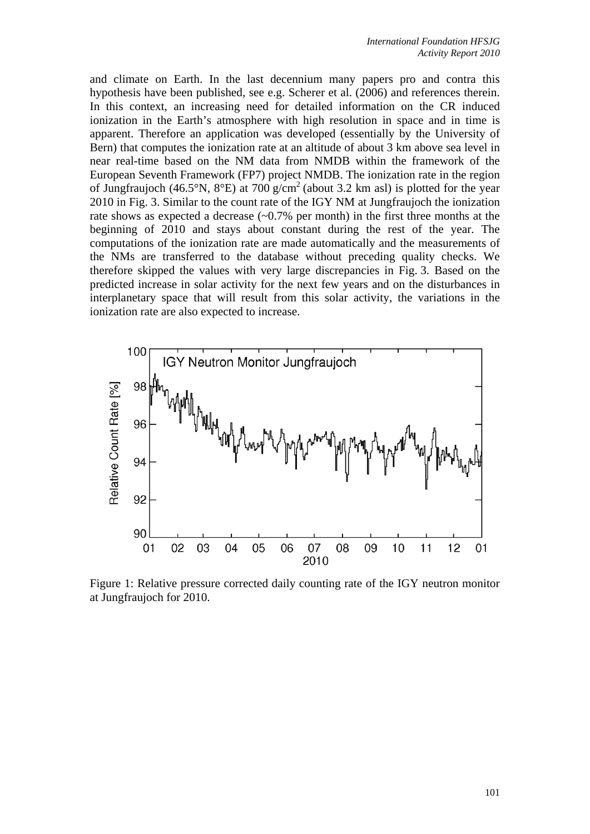and climate on Earth. In the last decennium many papers pro and contra this hypothesis have been published, see e.g. Scherer et al. (2006) and references therein. In this context, an increasing need for detailed information on the CR induced ionization in the Earth's atmosphere with high resolution in space and in time is apparent. Therefore an application was developed (essentially by the University of Bern) that computes the ionization rate at an altitude of about 3 km above sea level in near real-time based on the NM data from NMDB within the framework of the European Seventh Framework (FP7) project NMDB. The ionization rate in the region of Jungfraujoch (46.5°N, 8°E) at 700 g/cm<sup>2</sup> (about 3.2 km asl) is plotted for the year 2010 in Fig. 3. Similar to the count rate of the IGY NM at Jungfraujoch the ionization rate shows as expected a decrease  $(-0.7\%$  per month) in the first three months at the beginning of 2010 and stays about constant during the rest of the year. The computations of the ionization rate are made automatically and the measurements of the NMs are transferred to the database without preceding quality checks. We therefore skipped the values with very large discrepancies in Fig. 3. Based on the predicted increase in solar activity for the next few years and on the disturbances in interplanetary space that will result from this solar activity, the variations in the ionization rate are also expected to increase.



Figure 1: Relative pressure corrected daily counting rate of the IGY neutron monitor at Jungfraujoch for 2010.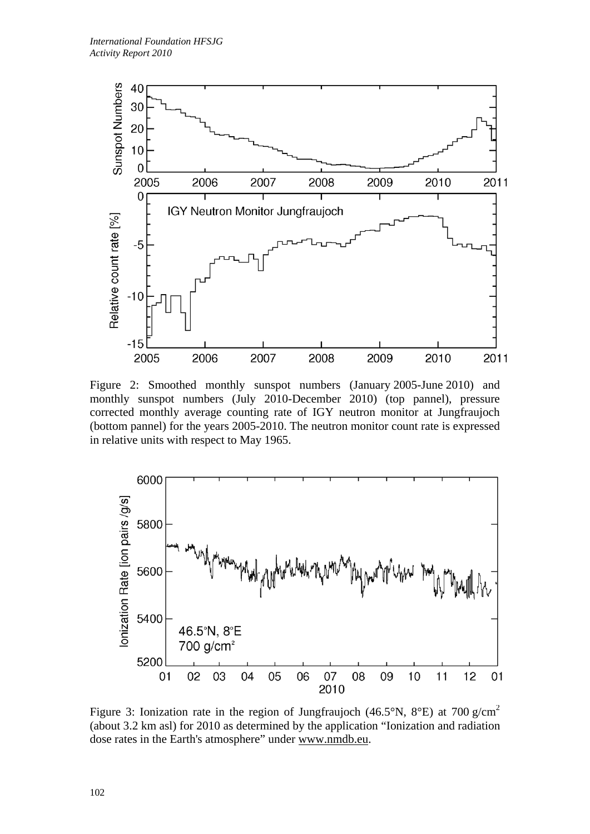

Figure 2: Smoothed monthly sunspot numbers (January 2005-June 2010) and monthly sunspot numbers (July 2010-December 2010) (top pannel), pressure corrected monthly average counting rate of IGY neutron monitor at Jungfraujoch (bottom pannel) for the years 2005-2010. The neutron monitor count rate is expressed in relative units with respect to May 1965.



Figure 3: Ionization rate in the region of Jungfraujoch (46.5°N, 8°E) at 700 g/cm<sup>2</sup> (about 3.2 km asl) for 2010 as determined by the application "Ionization and radiation dose rates in the Earth's atmosphere" under www.nmdb.eu.